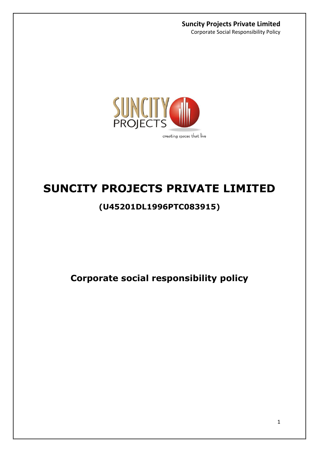Corporate Social Responsibility Policy



# **SUNCITY PROJECTS PRIVATE LIMITED**

# **(U45201DL1996PTC083915)**

**Corporate social responsibility policy**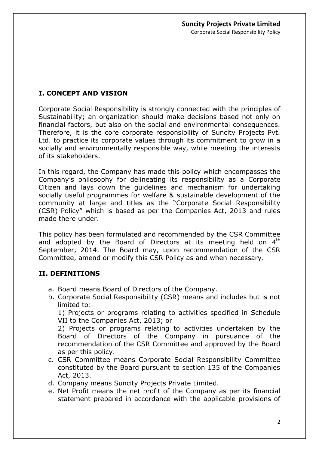# **I. CONCEPT AND VISION**

Corporate Social Responsibility is strongly connected with the principles of Sustainability; an organization should make decisions based not only on financial factors, but also on the social and environmental consequences. Therefore, it is the core corporate responsibility of Suncity Projects Pvt. Ltd. to practice its corporate values through its commitment to grow in a socially and environmentally responsible way, while meeting the interests of its stakeholders.

In this regard, the Company has made this policy which encompasses the Company's philosophy for delineating its responsibility as a Corporate Citizen and lays down the guidelines and mechanism for undertaking socially useful programmes for welfare & sustainable development of the community at large and titles as the "Corporate Social Responsibility (CSR) Policy" which is based as per the Companies Act, 2013 and rules made there under.

This policy has been formulated and recommended by the CSR Committee and adopted by the Board of Directors at its meeting held on  $4<sup>th</sup>$ September, 2014. The Board may, upon recommendation of the CSR Committee, amend or modify this CSR Policy as and when necessary.

# **II. DEFINITIONS**

- a. Board means Board of Directors of the Company.
- b. Corporate Social Responsibility (CSR) means and includes but is not limited to:-

1) Projects or programs relating to activities specified in Schedule VII to the Companies Act, 2013; or

2) Projects or programs relating to activities undertaken by the Board of Directors of the Company in pursuance of the recommendation of the CSR Committee and approved by the Board as per this policy.

- c. CSR Committee means Corporate Social Responsibility Committee constituted by the Board pursuant to section 135 of the Companies Act, 2013.
- d. Company means Suncity Projects Private Limited.
- e. Net Profit means the net profit of the Company as per its financial statement prepared in accordance with the applicable provisions of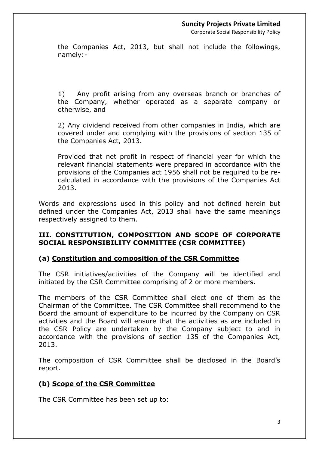Corporate Social Responsibility Policy

the Companies Act, 2013, but shall not include the followings, namely:-

1) Any profit arising from any overseas branch or branches of the Company, whether operated as a separate company or otherwise, and

2) Any dividend received from other companies in India, which are covered under and complying with the provisions of section 135 of the Companies Act, 2013.

Provided that net profit in respect of financial year for which the relevant financial statements were prepared in accordance with the provisions of the Companies act 1956 shall not be required to be recalculated in accordance with the provisions of the Companies Act 2013.

Words and expressions used in this policy and not defined herein but defined under the Companies Act, 2013 shall have the same meanings respectively assigned to them.

#### **III. CONSTITUTION, COMPOSITION AND SCOPE OF CORPORATE SOCIAL RESPONSIBILITY COMMITTEE (CSR COMMITTEE)**

# **(a) Constitution and composition of the CSR Committee**

The CSR initiatives/activities of the Company will be identified and initiated by the CSR Committee comprising of 2 or more members.

The members of the CSR Committee shall elect one of them as the Chairman of the Committee. The CSR Committee shall recommend to the Board the amount of expenditure to be incurred by the Company on CSR activities and the Board will ensure that the activities as are included in the CSR Policy are undertaken by the Company subject to and in accordance with the provisions of section 135 of the Companies Act, 2013.

The composition of CSR Committee shall be disclosed in the Board's report.

# **(b) Scope of the CSR Committee**

The CSR Committee has been set up to: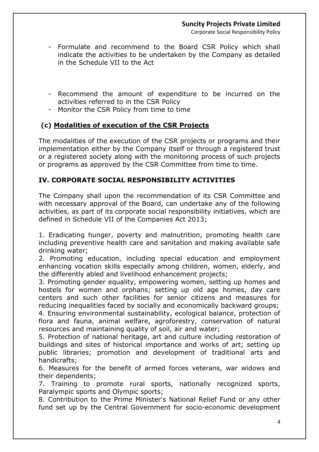Corporate Social Responsibility Policy

- Formulate and recommend to the Board CSR Policy which shall indicate the activities to be undertaken by the Company as detailed in the Schedule VII to the Act
- Recommend the amount of expenditure to be incurred on the activities referred to in the CSR Policy
- Monitor the CSR Policy from time to time

# **(c) Modalities of execution of the CSR Projects**

The modalities of the execution of the CSR projects or programs and their implementation either by the Company itself or through a registered trust or a registered society along with the monitoring process of such projects or programs as approved by the CSR Committee from time to time.

# **IV. CORPORATE SOCIAL RESPONSIBILITY ACTIVITIES**

The Company shall upon the recommendation of its CSR Committee and with necessary approval of the Board, can undertake any of the following activities, as part of its corporate social responsibility initiatives, which are defined in Schedule VII of the Companies Act 2013;

1. Eradicating hunger, poverty and malnutrition, promoting health care including preventive health care and sanitation and making available safe drinking water;

2. Promoting education, including special education and employment enhancing vocation skills especially among children, women, elderly, and the differently abled and livelihood enhancement projects;

3. Promoting gender equality, empowering women, setting up homes and hostels for women and orphans; setting up old age homes, day care centers and such other facilities for senior citizens and measures for reducing inequalities faced by socially and economically backward groups;

4. Ensuring environmental sustainability, ecological balance, protection of flora and fauna, animal welfare, agroforestry, conservation of natural resources and maintaining quality of soil, air and water;

5. Protection of national heritage, art and culture including restoration of buildings and sites of historical importance and works of art; setting up public libraries; promotion and development of traditional arts and handicrafts;

6. Measures for the benefit of armed forces veterans, war widows and their dependents;

7. Training to promote rural sports, nationally recognized sports, Paralympic sports and Olympic sports;

8. Contribution to the Prime Minister's National Relief Fund or any other fund set up by the Central Government for socio-economic development